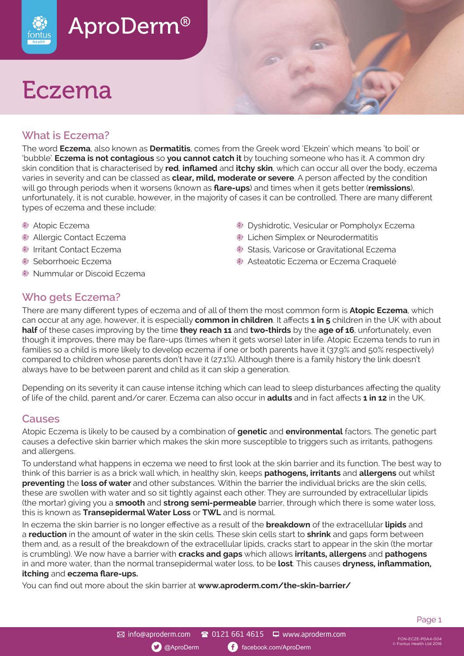

# Eczema

#### **What is Eczema?**

The word **Eczema**, also known as **Dermatitis**, comes from the Greek word 'Ekzein' which means 'to boil' or 'bubble'. **Eczema is not contagious** so **you cannot catch it** by touching someone who has it. A common dry skin condition that is characterised by **red**, **inflamed** and **itchy skin**, which can occur all over the body, eczema varies in severity and can be classed as **clear, mild, moderate or severe**. A person affected by the condition will go through periods when it worsens (known as **flare-ups**) and times when it gets better (**remissions**), unfortunately, it is not curable, however, in the majority of cases it can be controlled. There are many different types of eczema and these include:

- Atopic Eczema
- Allergic Contact Eczema
- Irritant Contact Eczema
- Seborrhoeic Eczema
- Nummular or Discoid Eczema

- **Dyshidrotic, Vesicular or Pompholyx Eczema Exercise Simplex or Neurodermatitis**
- **Stasis, Varicose or Gravitational Eczema**
- Asteatotic Eczema or Eczema Craquelé

#### **Who gets Eczema?**

There are many different types of eczema and of all of them the most common form is **Atopic Eczema**, which can occur at any age, however, it is especially **common in children**. It affects **1 in 5** children in the UK with about **half** of these cases improving by the time **they reach 11** and **two-thirds** by the **age of 16**, unfortunately, even though it improves, there may be flare-ups (times when it gets worse) later in life. Atopic Eczema tends to run in families so a child is more likely to develop eczema if one or both parents have it (37.9% and 50% respectively) compared to children whose parents don't have it (27.1%). Although there is a family history the link doesn't always have to be between parent and child as it can skip a generation.

Depending on its severity it can cause intense itching which can lead to sleep disturbances affecting the quality of life of the child, parent and/or carer. Eczema can also occur in **adults** and in fact affects **1 in 12** in the UK.

#### **Causes**

Atopic Eczema is likely to be caused by a combination of **genetic** and **environmental** factors. The genetic part causes a defective skin barrier which makes the skin more susceptible to triggers such as irritants, pathogens and allergens.

To understand what happens in eczema we need to first look at the skin barrier and its function. The best way to think of this barrier is as a brick wall which, in healthy skin, keeps **pathogens, irritants** and **allergens** out whilst **preventing** the **loss of water** and other substances. Within the barrier the individual bricks are the skin cells, these are swollen with water and so sit tightly against each other. They are surrounded by extracellular lipids (the mortar) giving you a **smooth** and **strong semi-permeable** barrier, through which there is some water loss, this is known as **Transepidermal Water Loss** or **TWL** and is normal.

In eczema the skin barrier is no longer effective as a result of the **breakdown** of the extracellular **lipids** and a **reduction** in the amount of water in the skin cells. These skin cells start to **shrink** and gaps form between them and, as a result of the breakdown of the extracellular lipids, cracks start to appear in the skin (the mortar is crumbling). We now have a barrier with **cracks and gaps** which allows **irritants, allergens** and **pathogens** in and more water, than the normal transepidermal water loss, to be **lost**. This causes **dryness, inflammation, itching** and **eczema flare-ups.**

You can find out more about the skin barrier at **www.aproderm.com/the-skin-barrier/**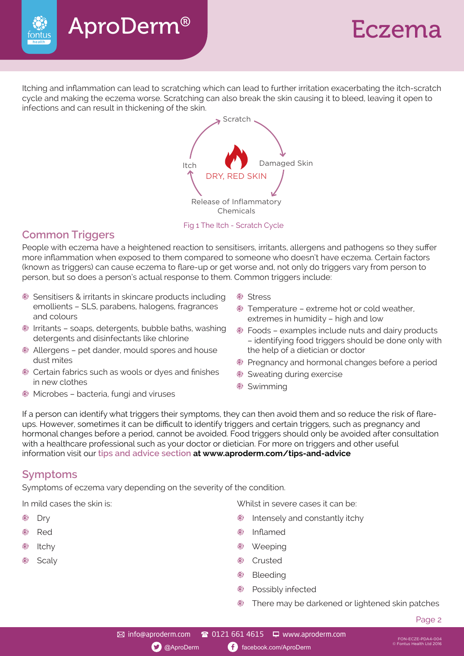

## Eczema

Itching and inflammation can lead to scratching which can lead to further irritation exacerbating the itch-scratch cycle and making the eczema worse. Scratching can also break the skin causing it to bleed, leaving it open to infections and can result in thickening of the skin.



#### **Common Triggers**

fontus

People with eczema have a heightened reaction to sensitisers, irritants, allergens and pathogens so they suffer more inflammation when exposed to them compared to someone who doesn't have eczema. Certain factors (known as triggers) can cause eczema to flare-up or get worse and, not only do triggers vary from person to person, but so does a person's actual response to them. Common triggers include:

- Sensitisers & irritants in skincare products including emollients – SLS, parabens, halogens, fragrances and colours
- Irritants soaps, detergents, bubble baths, washing detergents and disinfectants like chlorine
- Allergens pet dander, mould spores and house dust mites
- Certain fabrics such as wools or dyes and finishes in new clothes
- Microbes bacteria, fungi and viruses
- Stress
- **Temperature extreme hot or cold weather,** extremes in humidity – high and low
- Foods examples include nuts and dairy products – identifying food triggers should be done only with the help of a dietician or doctor
- **Pregnancy and hormonal changes before a period**
- Sweating during exercise
- Swimming

If a person can identify what triggers their symptoms, they can then avoid them and so reduce the risk of flareups. However, sometimes it can be difficult to identify triggers and certain triggers, such as pregnancy and hormonal changes before a period, cannot be avoided. Food triggers should only be avoided after consultation with a healthcare professional such as your doctor or dietician. For more on triggers and other useful information visit our **tips and advice section at www.aproderm.com/tips-and-advice**

#### **Symptoms**

Symptoms of eczema vary depending on the severity of the condition.

- 
- 8
- 
- 

In mild cases the skin is: Whilst in severe cases it can be:

- Dry Intensely and constantly itchy
	- Red **Inflamed Inflamed**
- Itchy Neeping スタックス こうしょう こうしょう こうしょう しょうしょう いちょう あいじょう いちょう はんしゃ めいじょう いちょう こうしょう いちょう いちょう じょうしゃ じょうしょう じょうしゃ じょうしょく じょうしょく いちょうしょく いちょうしょく はんしゃ しょうしょく しょうしょく しょうしょく しょうしょく しょうしょく
	- Scaly **Contract Contract Contract Contract Contract Contract Contract Contract Contract Contract Contract Contract Contract Contract Contract Contract Contract Contract Contract Contract Contract Contract Contract Contract** 
		- **Bleeding**
		- **B** Possibly infected
		- There may be darkened or lightened skin patches

FON-ECZE-PDA4-004